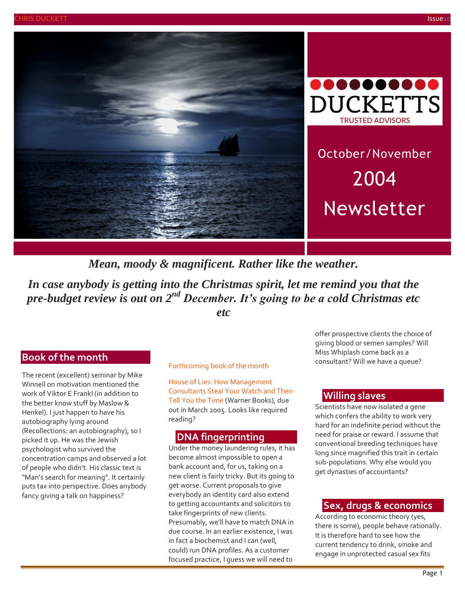



October/November 2004 Newsletter

*Mean, moody & magnificent. Rather like the weather.*

*In case anybody is getting into the Christmas spirit, let me remind you that the pre-budget review is out on 2nd December. It's going to be a cold Christmas etc etc*

# **Book of the month**

The recent (excellent) seminar by Mike Winnell on motivation mentioned the work of Viktor E Frankl (in addition to the better know stuff by Maslow & Henkel). I just happen to have his autobiography lying around (Recollections: an autobiography), so I picked it up. He was the Jewish psychologist who survived the concentration camps and observed a lot of people who didn't. His classic text is "Man's search for meaning". It certainly puts tax into perspective. Does anybody fancy giving a talk on happiness?

#### Forthcoming book of the month

House of Lies: How Management Consultants Steal Your Watch and Then Tell You the Time (Warner Books), due out in March 2005. Looks like required reading?

#### **DNA fingerprinting**

Under the money laundering rules, it has become almost impossible to open a bank account and, for us, taking on a new client is fairly tricky. But its going to get worse. Current proposals to give everybody an identity card also extend to getting accountants and solicitors to take fingerprints of new clients. Presumably, we'll have to match DNA in due course. In an earlier existence, I was in fact a biochemist and I can (well, could) run DNA profiles. As a customer focused practice, I guess we will need to

offer prospective clients the choice of giving blood or semen samples? Will Miss Whiplash come back as a consultant? Will we have a queue?

#### **Willing slaves**

Scientists have now isolated a gene which confers the ability to work very hard for an indefinite period without the need for praise or reward. I assume that conventional breeding techniques have long since magnified this trait in certain sub-populations. Why else would you get dynasties of accountants?

#### **Sex, drugs & economics**

According to economic theory (yes, there is some), people behave rationally. It is therefore hard to see how the current tendency to drink, smoke and engage in unprotected casual sex fits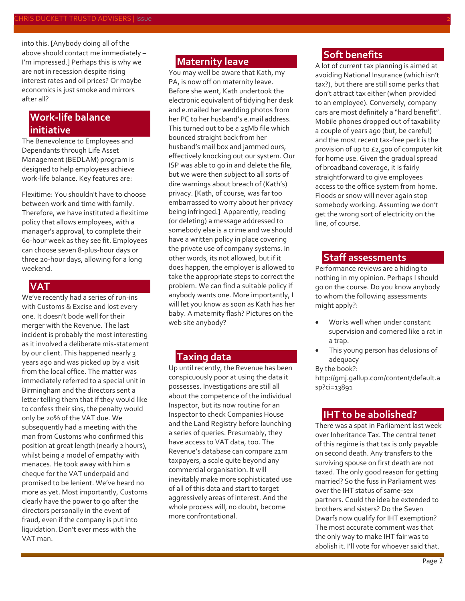into this. [Anybody doing all of the above should contact me immediately – I'm impressed.] Perhaps this is why we are not in recession despite rising interest rates and oil prices? Or maybe economics is just smoke and mirrors after all?

# **Work-life balance initiative**

The Benevolence to Employees and Dependants through Life Asset Management (BEDLAM) program is designed to help employees achieve work-life balance. Key features are:

Flexitime: You shouldn't have to choose between work and time with family. Therefore, we have instituted a flexitime policy that allows employees, with a manager's approval, to complete their 60-hour week as they see fit. Employees can choose seven 8-plus-hour days or three 20-hour days, allowing for a long weekend.

#### **VAT**

We've recently had a series of run-ins with Customs & Excise and lost every one. It doesn't bode well for their merger with the Revenue. The last incident is probably the most interesting as it involved a deliberate mis-statement by our client. This happened nearly 3 years ago and was picked up by a visit from the local office. The matter was immediately referred to a special unit in Birmingham and the directors sent a letter telling them that if they would like to confess their sins, the penalty would only be 20% of the VAT due. We subsequently had a meeting with the man from Customs who confirmed this position at great length (nearly 2 hours), whilst being a model of empathy with menaces. He took away with him a cheque for the VAT underpaid and promised to be lenient. We've heard no more as yet. Most importantly, Customs clearly have the power to go after the directors personally in the event of fraud, even if the company is put into liquidation. Don't ever mess with the VAT man.

#### **Maternity leave**

You may well be aware that Kath, my PA, is now off on maternity leave. Before she went, Kath undertook the electronic equivalent of tidying her desk and e.mailed her wedding photos from her PC to her husband's e.mail address. This turned out to be a 25Mb file which bounced straight back from her husband's mail box and jammed ours, effectively knocking out our system. Our ISP was able to go in and delete the file, but we were then subject to all sorts of dire warnings about breach of (Kath's) privacy. [Kath, of course, was far too embarrassed to worry about her privacy being infringed.] Apparently, reading (or deleting) a message addressed to somebody else is a crime and we should have a written policy in place covering the private use of company systems. In other words, its not allowed, but if it does happen, the employer is allowed to take the appropriate steps to correct the problem. We can find a suitable policy if anybody wants one. More importantly, I will let you know as soon as Kath has her baby. A maternity flash? Pictures on the web site anybody?

### **Taxing data**

Up until recently, the Revenue has been conspicuously poor at using the data it possesses. Investigations are still all about the competence of the individual Inspector, but its now routine for an Inspector to check Companies House and the Land Registry before launching a series of queries. Presumably, they have access to VAT data, too. The Revenue's database can compare 21m taxpayers, a scale quite beyond any commercial organisation. It will inevitably make more sophisticated use of all of this data and start to target aggressively areas of interest. And the whole process will, no doubt, become more confrontational.

#### **Soft benefits**

A lot of current tax planning is aimed at avoiding National Insurance (which isn't tax?), but there are still some perks that don't attract tax either (when provided to an employee). Conversely, company cars are most definitely a "hard benefit". Mobile phones dropped out of taxability a couple of years ago (but, be careful) and the most recent tax-free perk is the provision of up to £2,500 of computer kit for home use. Given the gradual spread of broadband coverage, it is fairly straightforward to give employees access to the office system from home. Floods or snow will never again stop somebody working. Assuming we don't get the wrong sort of electricity on the line, of course.

#### **Staff assessments**

Performance reviews are a hiding to nothing in my opinion. Perhaps I should go on the course. Do you know anybody to whom the following assessments might apply?:

- Works well when under constant supervision and cornered like a rat in a trap.
- This young person has delusions of adequacy

By the book?:

[http://gmj.gallup.com/content/default.a](http://gmj.gallup.com/content/default.asp?ci=13891) [sp?ci=13891](http://gmj.gallup.com/content/default.asp?ci=13891)

#### **IHT to be abolished?**

There was a spat in Parliament last week over Inheritance Tax. The central tenet of this regime is that tax is only payable on second death. Any transfers to the surviving spouse on first death are not taxed. The only good reason for getting married? So the fuss in Parliament was over the IHT status of same-sex partners. Could the idea be extended to brothers and sisters? Do the Seven Dwarfs now qualify for IHT exemption? The most accurate comment was that the only way to make IHT fair was to abolish it. I'll vote for whoever said that.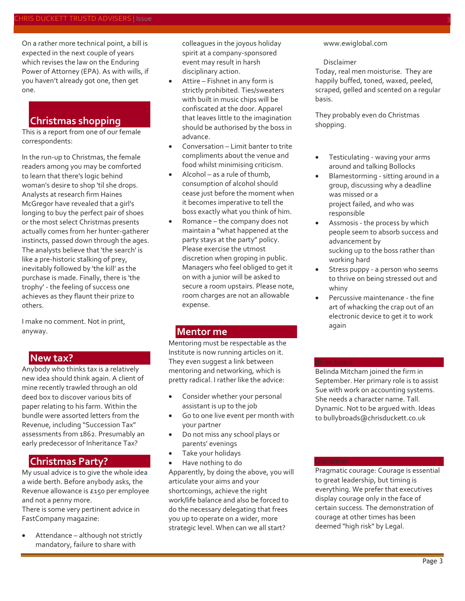On a rather more technical point, a bill is expected in the next couple of years which revises the law on the Enduring Power of Attorney (EPA). As with wills, if you haven't already got one, then get one.

# **Christmas shopping**

This is a report from one of our female correspondents:

In the run-up to Christmas, the female readers among you may be comforted to learn that there's logic behind woman's desire to shop 'til she drops. Analysts at research firm Haines McGregor have revealed that a girl's longing to buy the perfect pair of shoes or the most select Christmas presents actually comes from her hunter-gatherer instincts, passed down through the ages. The analysts believe that 'the search' is like a pre-historic stalking of prey, inevitably followed by 'the kill' as the purchase is made. Finally, there is 'the trophy' - the feeling of success one achieves as they flaunt their prize to others.

I make no comment. Not in print, anyway.

### **New tax?**

Anybody who thinks tax is a relatively new idea should think again. A client of mine recently trawled through an old deed box to discover various bits of paper relating to his farm. Within the bundle were assorted letters from the Revenue, including "Succession Tax" assessments from 1862. Presumably an early predecessor of Inheritance Tax?

# **Christmas Party?**

My usual advice is to give the whole idea a wide berth. Before anybody asks, the Revenue allowance is £150 per employee and not a penny more.

There is some very pertinent advice in FastCompany magazine:

 Attendance – although not strictly mandatory, failure to share with

colleagues in the joyous holiday spirit at a company-sponsored event may result in harsh disciplinary action.

- Attire Fishnet in any form is strictly prohibited. Ties/sweaters with built in music chips will be confiscated at the door. Apparel that leaves little to the imagination should be authorised by the boss in advance.
- Conversation Limit banter to trite compliments about the venue and food whilst minimising criticism.
- Alcohol as a rule of thumb, consumption of alcohol should cease just before the moment when it becomes imperative to tell the boss exactly what you think of him.
- Romance the company does not maintain a "what happened at the party stays at the party" policy. Please exercise the utmost discretion when groping in public. Managers who feel obliged to get it on with a junior will be asked to secure a room upstairs. Please note, room charges are not an allowable expense.

# **Mentor me**

Mentoring must be respectable as the Institute is now running articles on it. They even suggest a link between mentoring and networking, which is pretty radical. I rather like the advice:

- Consider whether your personal assistant is up to the job
- Go to one live event per month with your partner
- Do not miss any school plays or parents' evenings
- Take your holidays
- Have nothing to do

Apparently, by doing the above, you will articulate your aims and your shortcomings, achieve the right work/life balance and also be forced to do the necessary delegating that frees you up to operate on a wider, more strategic level. When can we all start?

#### [www.ewiglobal.com](http://www.ewiglobal.com/)

#### Disclaimer

Today, real men moisturise. They are happily buffed, toned, waxed, peeled, scraped, gelled and scented on a regular basis.

They probably even do Christmas shopping.

#### Testiculating - waving your arms around and talking Bollocks

- Blamestorming sitting around in a group, discussing why a deadline was missed or a project failed, and who was responsible
- Assmosis the process by which people seem to absorb success and advancement by sucking up to the boss rather than working hard
- Stress puppy a person who seems to thrive on being stressed out and whiny
- Percussive maintenance the fine art of whacking the crap out of an electronic device to get it to work again

Belinda Mitcham joined the firm in September. Her primary role is to assist Sue with work on accounting systems. She needs a character name. Tall. Dynamic. Not to be argued with. Ideas t[o bullybroads@chrisduckett.co.uk](mailto:bullybroads@chrisduckett.co.uk)

Pragmatic courage: Courage is essential to great leadership, but timing is everything. We prefer that executives display courage only in the face of certain success. The demonstration of courage at other times has been deemed "high risk" by Legal.